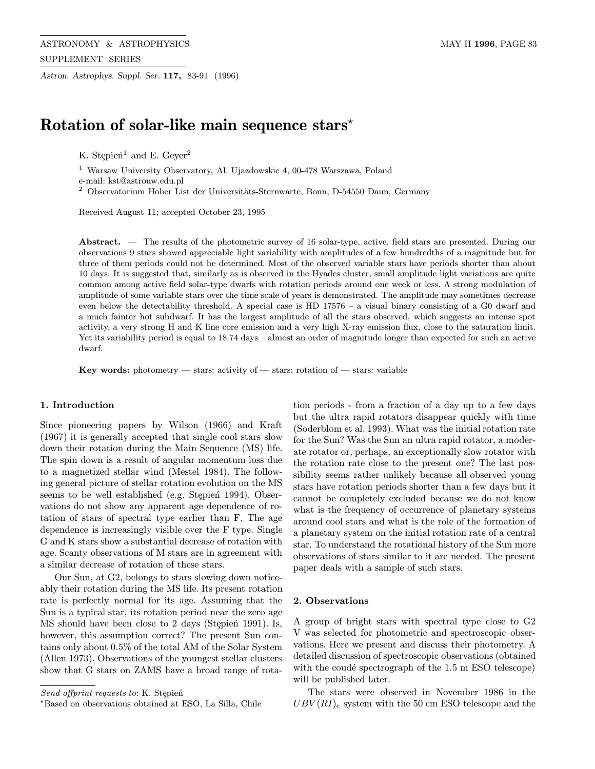Astron. Astrophys. Suppl. Ser. 117, 83-91 (1996)

# Rotation of solar-like main sequence stars<sup>\*</sup>

K. Stępień<sup>1</sup> and E. Geyer<sup>2</sup>

<sup>1</sup> Warsaw University Observatory, Al. Ujazdowskie 4, 00-478 Warszawa, Poland

e-mail: kst@astrouw.edu.pl

 $^2$  Observatorium Hoher List der Universitäts-Sternwarte, Bonn, D-54550 Daun, Germany

Received August 11; accepted October 23, 1995

Abstract. — The results of the photometric survey of 16 solar-type, active, field stars are presented. During our observations 9 stars showed appreciable light variability with amplitudes of a few hundredths of a magnitude but for three of them periods could not be determined. Most of the observed variable stars have periods shorter than about 10 days. It is suggested that, similarly as is observed in the Hyades cluster, small amplitude light variations are quite common among active field solar-type dwarfs with rotation periods around one week or less. A strong modulation of amplitude of some variable stars over the time scale of years is demonstrated. The amplitude may sometimes decrease even below the detectability threshold. A special case is HD 17576 – a visual binary consisting of a G0 dwarf and a much fainter hot subdwarf. It has the largest amplitude of all the stars observed, which suggests an intense spot activity, a very strong H and K line core emission and a very high X-ray emission flux, close to the saturation limit. Yet its variability period is equal to 18.74 days – almost an order of magnitude longer than expected for such an active dwarf.

Key words: photometry — stars: activity of — stars: rotation of — stars: variable

# 1. Introduction

Since pioneering papers by Wilson (1966) and Kraft (1967) it is generally accepted that single cool stars slow down their rotation during the Main Sequence (MS) life. The spin down is a result of angular momentum loss due to a magnetized stellar wind (Mestel 1984). The following general picture of stellar rotation evolution on the MS seems to be well established (e.g. Stępień 1994). Observations do not show any apparent age dependence of rotation of stars of spectral type earlier than F. The age dependence is increasingly visible over the F type. Single G and K stars show a substantial decrease of rotation with age. Scanty observations of M stars are in agreement with a similar decrease of rotation of these stars.

Our Sun, at G2, belongs to stars slowing down noticeably their rotation during the MS life. Its present rotation rate is perfectly normal for its age. Assuming that the Sun is a typical star, its rotation period near the zero age MS should have been close to 2 days (Stepien 1991). Is, however, this assumption correct? The present Sun contains only about 0.5% of the total AM of the Solar System (Allen 1973). Observations of the youngest stellar clusters show that G stars on ZAMS have a broad range of rota-

Send offprint requests to: K. Stepień

tion periods - from a fraction of a day up to a few days but the ultra rapid rotators disappear quickly with time (Soderblom et al. 1993). What was the initial rotation rate for the Sun? Was the Sun an ultra rapid rotator, a moderate rotator or, perhaps, an exceptionally slow rotator with the rotation rate close to the present one? The last possibility seems rather unlikely because all observed young stars have rotation periods shorter than a few days but it cannot be completely excluded because we do not know what is the frequency of occurrence of planetary systems around cool stars and what is the role of the formation of a planetary system on the initial rotation rate of a central star. To understand the rotational history of the Sun more observations of stars similar to it are needed. The present paper deals with a sample of such stars.

#### 2. Observations

A group of bright stars with spectral type close to G2 V was selected for photometric and spectroscopic observations. Here we present and discuss their photometry. A detailed discussion of spectroscopic observations (obtained with the coudé spectrograph of the  $1.5 \text{ m } ESO$  telescope) will be published later.

The stars were observed in November 1986 in the  $UBV(RI)$ <sub>c</sub> system with the 50 cm ESO telescope and the

<sup>?</sup>Based on observations obtained at ESO, La Silla, Chile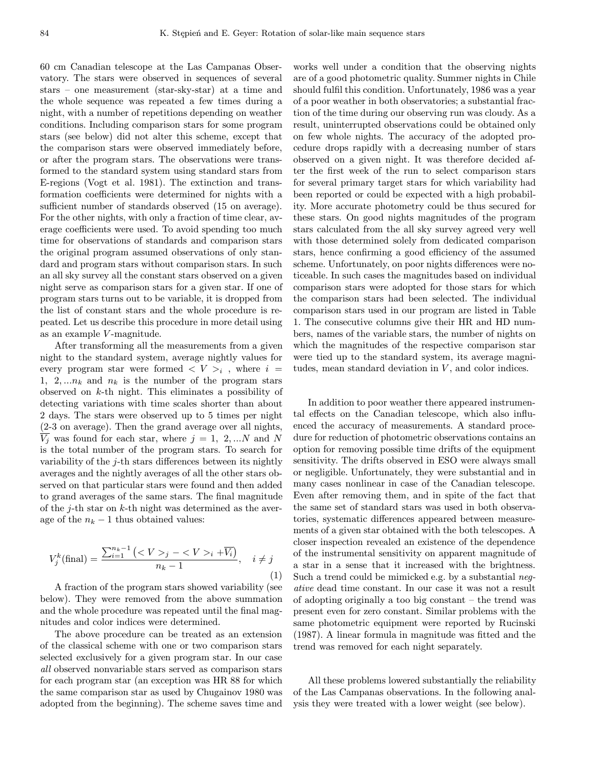60 cm Canadian telescope at the Las Campanas Observatory. The stars were observed in sequences of several stars – one measurement (star-sky-star) at a time and the whole sequence was repeated a few times during a night, with a number of repetitions depending on weather conditions. Including comparison stars for some program stars (see below) did not alter this scheme, except that the comparison stars were observed immediately before, or after the program stars. The observations were transformed to the standard system using standard stars from E-regions (Vogt et al. 1981). The extinction and transformation coefficients were determined for nights with a sufficient number of standards observed (15 on average). For the other nights, with only a fraction of time clear, average coefficients were used. To avoid spending too much time for observations of standards and comparison stars the original program assumed observations of only standard and program stars without comparison stars. In such an all sky survey all the constant stars observed on a given night serve as comparison stars for a given star. If one of program stars turns out to be variable, it is dropped from the list of constant stars and the whole procedure is repeated. Let us describe this procedure in more detail using as an example V -magnitude.

After transforming all the measurements from a given night to the standard system, average nightly values for every program star were formed  $\langle V \rangle_i$ , where  $i =$ 1, 2,  $\ldots n_k$  and  $n_k$  is the number of the program stars observed on k-th night. This eliminates a possibility of detecting variations with time scales shorter than about 2 days. The stars were observed up to 5 times per night (2-3 on average). Then the grand average over all nights,  $\overline{V_j}$  was found for each star, where  $j = 1, 2, ...N$  and N is the total number of the program stars. To search for variability of the  $j$ -th stars differences between its nightly averages and the nightly averages of all the other stars observed on that particular stars were found and then added to grand averages of the same stars. The final magnitude of the  $j$ -th star on  $k$ -th night was determined as the average of the  $n_k - 1$  thus obtained values:

$$
V_j^k(\text{final}) = \frac{\sum_{i=1}^{n_k - 1} \left( \langle V \rangle_j - \langle V \rangle_i + \overline{V_i} \right)}{n_k - 1}, \quad i \neq j
$$
\n(1)

A fraction of the program stars showed variability (see below). They were removed from the above summation and the whole procedure was repeated until the final magnitudes and color indices were determined.

The above procedure can be treated as an extension of the classical scheme with one or two comparison stars selected exclusively for a given program star. In our case all observed nonvariable stars served as comparison stars for each program star (an exception was HR 88 for which the same comparison star as used by Chugainov 1980 was adopted from the beginning). The scheme saves time and

works well under a condition that the observing nights are of a good photometric quality. Summer nights in Chile should fulfil this condition. Unfortunately, 1986 was a year of a poor weather in both observatories; a substantial fraction of the time during our observing run was cloudy. As a result, uninterrupted observations could be obtained only on few whole nights. The accuracy of the adopted procedure drops rapidly with a decreasing number of stars observed on a given night. It was therefore decided after the first week of the run to select comparison stars for several primary target stars for which variability had been reported or could be expected with a high probability. More accurate photometry could be thus secured for these stars. On good nights magnitudes of the program stars calculated from the all sky survey agreed very well with those determined solely from dedicated comparison stars, hence confirming a good efficiency of the assumed scheme. Unfortunately, on poor nights differences were noticeable. In such cases the magnitudes based on individual comparison stars were adopted for those stars for which the comparison stars had been selected. The individual comparison stars used in our program are listed in Table 1. The consecutive columns give their HR and HD numbers, names of the variable stars, the number of nights on which the magnitudes of the respective comparison star were tied up to the standard system, its average magnitudes, mean standard deviation in  $V$ , and color indices.

In addition to poor weather there appeared instrumental effects on the Canadian telescope, which also influenced the accuracy of measurements. A standard procedure for reduction of photometric observations contains an option for removing possible time drifts of the equipment sensitivity. The drifts observed in ESO were always small or negligible. Unfortunately, they were substantial and in many cases nonlinear in case of the Canadian telescope. Even after removing them, and in spite of the fact that the same set of standard stars was used in both observatories, systematic differences appeared between measurements of a given star obtained with the both telescopes. A closer inspection revealed an existence of the dependence of the instrumental sensitivity on apparent magnitude of a star in a sense that it increased with the brightness. Such a trend could be mimicked e.g. by a substantial negative dead time constant. In our case it was not a result of adopting originally a too big constant – the trend was present even for zero constant. Similar problems with the same photometric equipment were reported by Rucinski (1987). A linear formula in magnitude was fitted and the trend was removed for each night separately.

All these problems lowered substantially the reliability of the Las Campanas observations. In the following analysis they were treated with a lower weight (see below).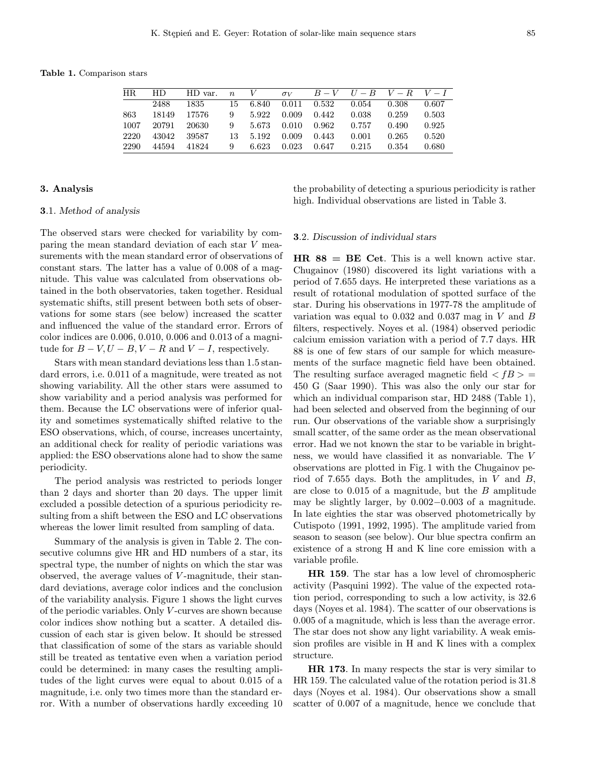Table 1. Comparison stars

| HR.  | HD.   | HD var. | $\boldsymbol{n}$ | V     | $\sigma_V$ |       |       | $B-V$ $U-B$ $V-R$ $V-I$ |       |
|------|-------|---------|------------------|-------|------------|-------|-------|-------------------------|-------|
|      | 2488  | 1835    | 15.              | 6.840 | 0.011      | 0.532 | 0.054 | 0.308                   | 0.607 |
| 863  | 18149 | 17576   | 9                | 5.922 | 0.009      | 0.442 | 0.038 | 0.259                   | 0.503 |
| 1007 | 20791 | 20630   | 9                | 5.673 | 0.010      | 0.962 | 0.757 | 0.490                   | 0.925 |
| 2220 | 43042 | 39587   | 13               | 5.192 | 0.009      | 0.443 | 0.001 | 0.265                   | 0.520 |
| 2290 | 44594 | 41824   | 9                | 6.623 | 0.023      | 0.647 | 0.215 | 0.354                   | 0.680 |

## 3. Analysis

## 3.1. Method of analysis

The observed stars were checked for variability by comparing the mean standard deviation of each star V measurements with the mean standard error of observations of constant stars. The latter has a value of 0.008 of a magnitude. This value was calculated from observations obtained in the both observatories, taken together. Residual systematic shifts, still present between both sets of observations for some stars (see below) increased the scatter and influenced the value of the standard error. Errors of color indices are 0.006, 0.010, 0.006 and 0.013 of a magnitude for  $B - V$ ,  $U - B$ ,  $V - R$  and  $V - I$ , respectively.

Stars with mean standard deviations less than 1.5 standard errors, i.e. 0.011 of a magnitude, were treated as not showing variability. All the other stars were assumed to show variability and a period analysis was performed for them. Because the LC observations were of inferior quality and sometimes systematically shifted relative to the ESO observations, which, of course, increases uncertainty, an additional check for reality of periodic variations was applied: the ESO observations alone had to show the same periodicity.

The period analysis was restricted to periods longer than 2 days and shorter than 20 days. The upper limit excluded a possible detection of a spurious periodicity resulting from a shift between the ESO and LC observations whereas the lower limit resulted from sampling of data.

Summary of the analysis is given in Table 2. The consecutive columns give HR and HD numbers of a star, its spectral type, the number of nights on which the star was observed, the average values of V -magnitude, their standard deviations, average color indices and the conclusion of the variability analysis. Figure 1 shows the light curves of the periodic variables. Only V -curves are shown because color indices show nothing but a scatter. A detailed discussion of each star is given below. It should be stressed that classification of some of the stars as variable should still be treated as tentative even when a variation period could be determined: in many cases the resulting amplitudes of the light curves were equal to about 0.015 of a magnitude, i.e. only two times more than the standard error. With a number of observations hardly exceeding 10 the probability of detecting a spurious periodicity is rather high. Individual observations are listed in Table 3.

#### 3.2. Discussion of individual stars

 $HR 88 = BE Cet$ . This is a well known active star. Chugainov (1980) discovered its light variations with a period of 7.655 days. He interpreted these variations as a result of rotational modulation of spotted surface of the star. During his observations in 1977-78 the amplitude of variation was equal to 0.032 and 0.037 mag in V and B filters, respectively. Noyes et al. (1984) observed periodic calcium emission variation with a period of 7.7 days. HR 88 is one of few stars of our sample for which measurements of the surface magnetic field have been obtained. The resulting surface averaged magnetic field  $\langle f, B \rangle =$ 450 G (Saar 1990). This was also the only our star for which an individual comparison star, HD 2488 (Table 1), had been selected and observed from the beginning of our run. Our observations of the variable show a surprisingly small scatter, of the same order as the mean observational error. Had we not known the star to be variable in brightness, we would have classified it as nonvariable. The V observations are plotted in Fig. 1 with the Chugainov period of 7.655 days. Both the amplitudes, in  $V$  and  $B$ , are close to  $0.015$  of a magnitude, but the  $B$  amplitude may be slightly larger, by 0.002−0.003 of a magnitude. In late eighties the star was observed photometrically by Cutispoto (1991, 1992, 1995). The amplitude varied from season to season (see below). Our blue spectra confirm an existence of a strong H and K line core emission with a variable profile.

HR 159. The star has a low level of chromospheric activity (Pasquini 1992). The value of the expected rotation period, corresponding to such a low activity, is 32.6 days (Noyes et al. 1984). The scatter of our observations is 0.005 of a magnitude, which is less than the average error. The star does not show any light variability. A weak emission profiles are visible in H and K lines with a complex structure.

HR 173. In many respects the star is very similar to HR 159. The calculated value of the rotation period is 31.8 days (Noyes et al. 1984). Our observations show a small scatter of 0.007 of a magnitude, hence we conclude that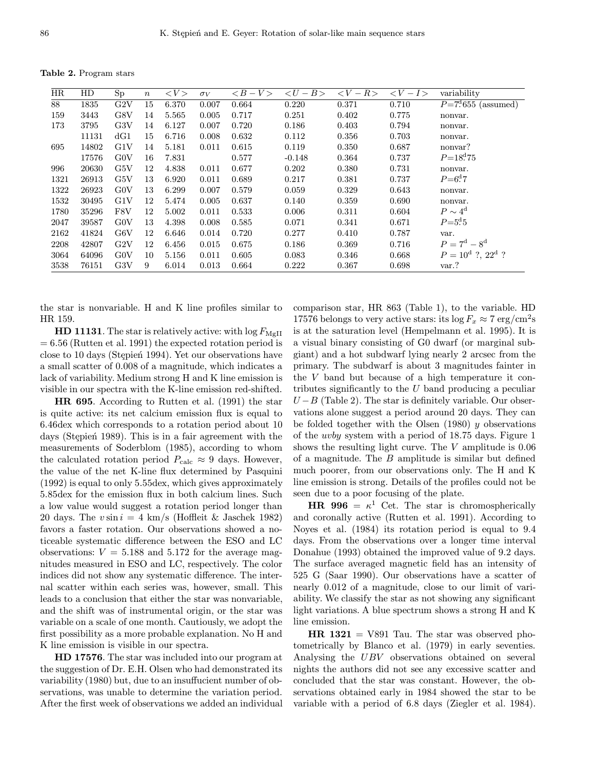Table 2. Program stars

| HR   | HD    | Sp  | $\boldsymbol{n}$ | $\langle V \rangle$ | $\sigma_V$ | $\langle B-V \rangle$ | $\lt U$<br>$-B>$ | $\lt V$<br>$-R$ | $\langle V-I \rangle$ | variability                     |
|------|-------|-----|------------------|---------------------|------------|-----------------------|------------------|-----------------|-----------------------|---------------------------------|
| 88   | 1835  | G2V | 15               | 6.370               | 0.007      | 0.664                 | 0.220            | 0.371           | 0.710                 | $P = 7^{\rm d} 655$ (assumed)   |
| 159  | 3443  | G8V | 14               | 5.565               | 0.005      | 0.717                 | 0.251            | 0.402           | 0.775                 | nonvar.                         |
| 173  | 3795  | G3V | 14               | 6.127               | 0.007      | 0.720                 | 0.186            | 0.403           | 0.794                 | nonvar.                         |
|      | 11131 | dG1 | 15               | 6.716               | 0.008      | 0.632                 | 0.112            | 0.356           | 0.703                 | nonvar.                         |
| 695  | 14802 | G1V | 14               | 5.181               | 0.011      | 0.615                 | 0.119            | 0.350           | 0.687                 | nonvar?                         |
|      | 17576 | G0V | 16               | 7.831               |            | 0.577                 | $-0.148$         | 0.364           | 0.737                 | $P=18^{d}75$                    |
| 996  | 20630 | G5V | 12               | 4.838               | 0.011      | 0.677                 | 0.202            | 0.380           | 0.731                 | nonvar.                         |
| 1321 | 26913 | G5V | 13               | 6.920               | 0.011      | 0.689                 | 0.217            | 0.381           | 0.737                 | $P = 6^{d}7$                    |
| 1322 | 26923 | G0V | 13               | 6.299               | 0.007      | 0.579                 | 0.059            | 0.329           | 0.643                 | nonvar.                         |
| 1532 | 30495 | G1V | 12               | 5.474               | 0.005      | 0.637                 | 0.140            | 0.359           | 0.690                 | nonvar.                         |
| 1780 | 35296 | F8V | 12               | 5.002               | 0.011      | 0.533                 | 0.006            | 0.311           | 0.604                 | $P \sim 4^d$                    |
| 2047 | 39587 | G0V | 13               | 4.398               | 0.008      | 0.585                 | 0.071            | 0.341           | 0.671                 | $P = 5^{d} 5$                   |
| 2162 | 41824 | G6V | 12               | 6.646               | 0.014      | 0.720                 | 0.277            | 0.410           | 0.787                 | var.                            |
| 2208 | 42807 | G2V | 12               | 6.456               | 0.015      | 0.675                 | 0.186            | 0.369           | 0.716                 | $P = 7^{\rm d} - 8^{\rm d}$     |
| 3064 | 64096 | G0V | 10               | 5.156               | 0.011      | 0.605                 | 0.083            | 0.346           | 0.668                 | $P = 10^d$ ?, 22 <sup>d</sup> ? |
| 3538 | 76151 | G3V | 9                | 6.014               | 0.013      | 0.664                 | 0.222            | 0.367           | 0.698                 | var.?                           |

the star is nonvariable. H and K line profiles similar to HR 159.

**HD 11131**. The star is relatively active: with  $\log F_{\text{MgII}}$  $= 6.56$  (Rutten et al. 1991) the expected rotation period is close to 10 days (Stepien 1994). Yet our observations have a small scatter of 0.008 of a magnitude, which indicates a lack of variability. Medium strong H and K line emission is visible in our spectra with the K-line emission red-shifted.

HR 695. According to Rutten et al. (1991) the star is quite active: its net calcium emission flux is equal to 6.46dex which corresponds to a rotation period about 10 days (Stepien 1989). This is in a fair agreement with the measurements of Soderblom (1985), according to whom the calculated rotation period  $P_{\text{calc}} \approx 9$  days. However, the value of the net K-line flux determined by Pasquini (1992) is equal to only 5.55dex, which gives approximately 5.85dex for the emission flux in both calcium lines. Such a low value would suggest a rotation period longer than 20 days. The  $v \sin i = 4$  km/s (Hoffleit & Jaschek 1982) favors a faster rotation. Our observations showed a noticeable systematic difference between the ESO and LC observations:  $V = 5.188$  and 5.172 for the average magnitudes measured in ESO and LC, respectively. The color indices did not show any systematic difference. The internal scatter within each series was, however, small. This leads to a conclusion that either the star was nonvariable, and the shift was of instrumental origin, or the star was variable on a scale of one month. Cautiously, we adopt the first possibility as a more probable explanation. No H and K line emission is visible in our spectra.

HD 17576. The star was included into our program at the suggestion of Dr. E.H. Olsen who had demonstrated its variability (1980) but, due to an insuffucient number of observations, was unable to determine the variation period. After the first week of observations we added an individual comparison star, HR 863 (Table 1), to the variable. HD 17576 belongs to very active stars: its  $\log F_x \approx 7 \text{ erg/cm}^2$ s is at the saturation level (Hempelmann et al. 1995). It is a visual binary consisting of G0 dwarf (or marginal subgiant) and a hot subdwarf lying nearly 2 arcsec from the primary. The subdwarf is about 3 magnitudes fainter in the V band but because of a high temperature it contributes significantly to the  $U$  band producing a peculiar  $U - B$  (Table 2). The star is definitely variable. Our observations alone suggest a period around 20 days. They can be folded together with the Olsen  $(1980)$  y observations of the uvby system with a period of 18.75 days. Figure 1 shows the resulting light curve. The  $V$  amplitude is  $0.06$ of a magnitude. The  $B$  amplitude is similar but defined much poorer, from our observations only. The H and K line emission is strong. Details of the profiles could not be seen due to a poor focusing of the plate.

**HR 996** =  $\kappa^1$  Cet. The star is chromospherically and coronally active (Rutten et al. 1991). According to Noyes et al. (1984) its rotation period is equal to 9.4 days. From the observations over a longer time interval Donahue (1993) obtained the improved value of 9.2 days. The surface averaged magnetic field has an intensity of 525 G (Saar 1990). Our observations have a scatter of nearly 0.012 of a magnitude, close to our limit of variability. We classify the star as not showing any significant light variations. A blue spectrum shows a strong H and K line emission.

 $HR$  1321 = V891 Tau. The star was observed photometrically by Blanco et al. (1979) in early seventies. Analysing the UBV observations obtained on several nights the authors did not see any excessive scatter and concluded that the star was constant. However, the observations obtained early in 1984 showed the star to be variable with a period of 6.8 days (Ziegler et al. 1984).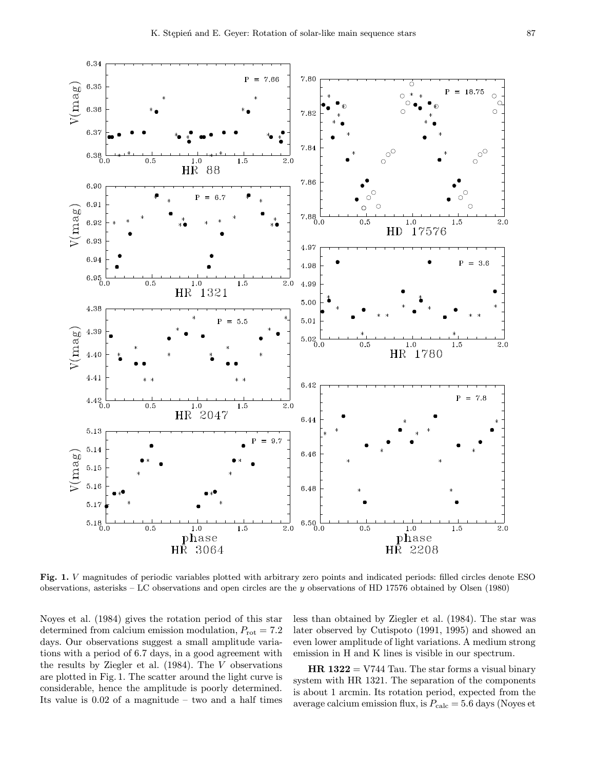

Fig. 1. V magnitudes of periodic variables plotted with arbitrary zero points and indicated periods: filled circles denote ESO observations, asterisks – LC observations and open circles are the y observations of HD 17576 obtained by Olsen (1980)

Noyes et al. (1984) gives the rotation period of this star determined from calcium emission modulation,  $P_{\text{rot}} = 7.2$ days. Our observations suggest a small amplitude variations with a period of 6.7 days, in a good agreement with the results by Ziegler et al.  $(1984)$ . The V observations are plotted in Fig. 1. The scatter around the light curve is considerable, hence the amplitude is poorly determined. Its value is  $0.02$  of a magnitude – two and a half times less than obtained by Ziegler et al. (1984). The star was later observed by Cutispoto (1991, 1995) and showed an even lower amplitude of light variations. A medium strong emission in H and K lines is visible in our spectrum.

 $HR 1322 = V744$  Tau. The star forms a visual binary system with HR 1321. The separation of the components is about 1 arcmin. Its rotation period, expected from the average calcium emission flux, is  $P_{\text{calc}} = 5.6$  days (Noyes et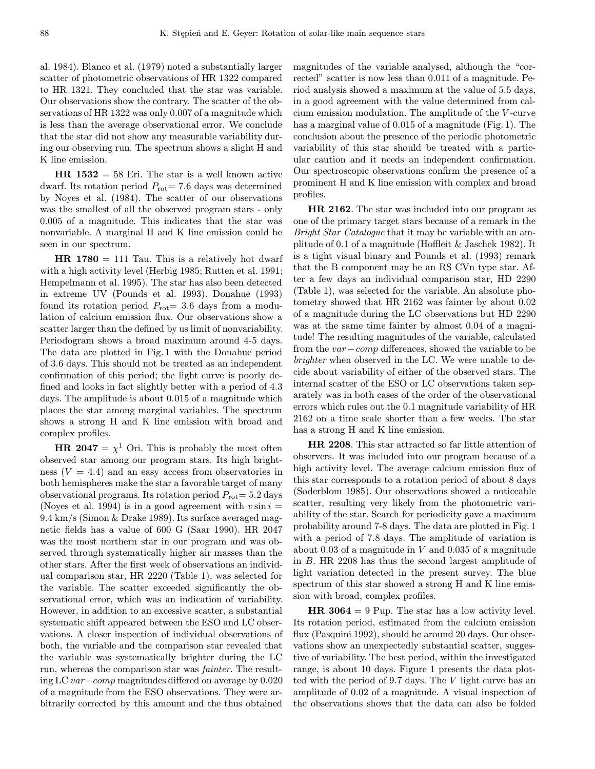al. 1984). Blanco et al. (1979) noted a substantially larger scatter of photometric observations of HR 1322 compared to HR 1321. They concluded that the star was variable. Our observations show the contrary. The scatter of the observations of HR 1322 was only 0.007 of a magnitude which is less than the average observational error. We conclude that the star did not show any measurable variability during our observing run. The spectrum shows a slight H and K line emission.

 $HR$  1532 = 58 Eri. The star is a well known active dwarf. Its rotation period  $P_{\text{rot}}= 7.6$  days was determined by Noyes et al. (1984). The scatter of our observations was the smallest of all the observed program stars - only 0.005 of a magnitude. This indicates that the star was nonvariable. A marginal H and K line emission could be seen in our spectrum.

 $HR$  1780 = 111 Tau. This is a relatively hot dwarf with a high activity level (Herbig 1985; Rutten et al. 1991; Hempelmann et al. 1995). The star has also been detected in extreme UV (Pounds et al. 1993). Donahue (1993) found its rotation period  $P_{\text{rot}}=3.6$  days from a modulation of calcium emission flux. Our observations show a scatter larger than the defined by us limit of nonvariability. Periodogram shows a broad maximum around 4-5 days. The data are plotted in Fig. 1 with the Donahue period of 3.6 days. This should not be treated as an independent confirmation of this period; the light curve is poorly defined and looks in fact slightly better with a period of 4.3 days. The amplitude is about 0.015 of a magnitude which places the star among marginal variables. The spectrum shows a strong H and K line emission with broad and complex profiles.

**HR 2047** =  $\chi^1$  Ori. This is probably the most often observed star among our program stars. Its high brightness  $(V = 4.4)$  and an easy access from observatories in both hemispheres make the star a favorable target of many observational programs. Its rotation period  $P_{\text{rot}}=5.2$  days (Noyes et al. 1994) is in a good agreement with  $v \sin i =$ 9.4 km/s (Simon & Drake 1989). Its surface averaged magnetic fields has a value of 600 G (Saar 1990). HR 2047 was the most northern star in our program and was observed through systematically higher air masses than the other stars. After the first week of observations an individual comparison star, HR 2220 (Table 1), was selected for the variable. The scatter exceeded significantly the observational error, which was an indication of variability. However, in addition to an excessive scatter, a substantial systematic shift appeared between the ESO and LC observations. A closer inspection of individual observations of both, the variable and the comparison star revealed that the variable was systematically brighter during the LC run, whereas the comparison star was fainter. The resulting LC var−comp magnitudes differed on average by 0.020 of a magnitude from the ESO observations. They were arbitrarily corrected by this amount and the thus obtained

magnitudes of the variable analysed, although the "corrected" scatter is now less than 0.011 of a magnitude. Period analysis showed a maximum at the value of 5.5 days, in a good agreement with the value determined from calcium emission modulation. The amplitude of the V -curve has a marginal value of 0.015 of a magnitude (Fig. 1). The conclusion about the presence of the periodic photometric variability of this star should be treated with a particular caution and it needs an independent confirmation. Our spectroscopic observations confirm the presence of a prominent H and K line emission with complex and broad profiles.

HR 2162. The star was included into our program as one of the primary target stars because of a remark in the Bright Star Catalogue that it may be variable with an amplitude of 0.1 of a magnitude (Hoffleit & Jaschek 1982). It is a tight visual binary and Pounds et al. (1993) remark that the B component may be an RS CVn type star. After a few days an individual comparison star, HD 2290 (Table 1), was selected for the variable. An absolute photometry showed that HR 2162 was fainter by about 0.02 of a magnitude during the LC observations but HD 2290 was at the same time fainter by almost 0.04 of a magnitude! The resulting magnitudes of the variable, calculated from the var−comp differences, showed the variable to be brighter when observed in the LC. We were unable to decide about variability of either of the observed stars. The internal scatter of the ESO or LC observations taken separately was in both cases of the order of the observational errors which rules out the 0.1 magnitude variability of HR 2162 on a time scale shorter than a few weeks. The star has a strong H and K line emission.

HR 2208. This star attracted so far little attention of observers. It was included into our program because of a high activity level. The average calcium emission flux of this star corresponds to a rotation period of about 8 days (Soderblom 1985). Our observations showed a noticeable scatter, resulting very likely from the photometric variability of the star. Search for periodicity gave a maximum probability around 7-8 days. The data are plotted in Fig. 1 with a period of 7.8 days. The amplitude of variation is about  $0.03$  of a magnitude in  $V$  and  $0.035$  of a magnitude in B. HR 2208 has thus the second largest amplitude of light variation detected in the present survey. The blue spectrum of this star showed a strong H and K line emission with broad, complex profiles.

**HR 3064** = 9 Pup. The star has a low activity level. Its rotation period, estimated from the calcium emission flux (Pasquini 1992), should be around 20 days. Our observations show an unexpectedly substantial scatter, suggestive of variability. The best period, within the investigated range, is about 10 days. Figure 1 presents the data plotted with the period of 9.7 days. The V light curve has an amplitude of 0.02 of a magnitude. A visual inspection of the observations shows that the data can also be folded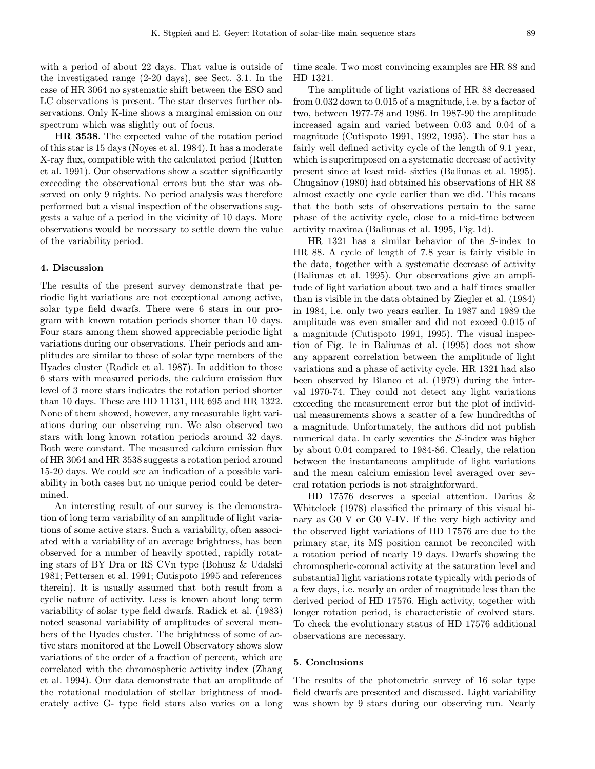with a period of about 22 days. That value is outside of the investigated range (2-20 days), see Sect. 3.1. In the case of HR 3064 no systematic shift between the ESO and LC observations is present. The star deserves further observations. Only K-line shows a marginal emission on our spectrum which was slightly out of focus.

HR 3538. The expected value of the rotation period of this star is 15 days (Noyes et al. 1984). It has a moderate X-ray flux, compatible with the calculated period (Rutten et al. 1991). Our observations show a scatter significantly exceeding the observational errors but the star was observed on only 9 nights. No period analysis was therefore performed but a visual inspection of the observations suggests a value of a period in the vicinity of 10 days. More observations would be necessary to settle down the value of the variability period.

### 4. Discussion

The results of the present survey demonstrate that periodic light variations are not exceptional among active, solar type field dwarfs. There were 6 stars in our program with known rotation periods shorter than 10 days. Four stars among them showed appreciable periodic light variations during our observations. Their periods and amplitudes are similar to those of solar type members of the Hyades cluster (Radick et al. 1987). In addition to those 6 stars with measured periods, the calcium emission flux level of 3 more stars indicates the rotation period shorter than 10 days. These are HD 11131, HR 695 and HR 1322. None of them showed, however, any measurable light variations during our observing run. We also observed two stars with long known rotation periods around 32 days. Both were constant. The measured calcium emission flux of HR 3064 and HR 3538 suggests a rotation period around 15-20 days. We could see an indication of a possible variability in both cases but no unique period could be determined.

An interesting result of our survey is the demonstration of long term variability of an amplitude of light variations of some active stars. Such a variability, often associated with a variability of an average brightness, has been observed for a number of heavily spotted, rapidly rotating stars of BY Dra or RS CVn type (Bohusz & Udalski 1981; Pettersen et al. 1991; Cutispoto 1995 and references therein). It is usually assumed that both result from a cyclic nature of activity. Less is known about long term variability of solar type field dwarfs. Radick et al. (1983) noted seasonal variability of amplitudes of several members of the Hyades cluster. The brightness of some of active stars monitored at the Lowell Observatory shows slow variations of the order of a fraction of percent, which are correlated with the chromospheric activity index (Zhang et al. 1994). Our data demonstrate that an amplitude of the rotational modulation of stellar brightness of moderately active G- type field stars also varies on a long time scale. Two most convincing examples are HR 88 and HD 1321.

The amplitude of light variations of HR 88 decreased from 0.032 down to 0.015 of a magnitude, i.e. by a factor of two, between 1977-78 and 1986. In 1987-90 the amplitude increased again and varied between 0.03 and 0.04 of a magnitude (Cutispoto 1991, 1992, 1995). The star has a fairly well defined activity cycle of the length of 9.1 year, which is superimposed on a systematic decrease of activity present since at least mid- sixties (Baliunas et al. 1995). Chugainov (1980) had obtained his observations of HR 88 almost exactly one cycle earlier than we did. This means that the both sets of observations pertain to the same phase of the activity cycle, close to a mid-time between activity maxima (Baliunas et al. 1995, Fig. 1d).

HR 1321 has a similar behavior of the S-index to HR 88. A cycle of length of 7.8 year is fairly visible in the data, together with a systematic decrease of activity (Baliunas et al. 1995). Our observations give an amplitude of light variation about two and a half times smaller than is visible in the data obtained by Ziegler et al. (1984) in 1984, i.e. only two years earlier. In 1987 and 1989 the amplitude was even smaller and did not exceed 0.015 of a magnitude (Cutispoto 1991, 1995). The visual inspection of Fig. 1e in Baliunas et al. (1995) does not show any apparent correlation between the amplitude of light variations and a phase of activity cycle. HR 1321 had also been observed by Blanco et al. (1979) during the interval 1970-74. They could not detect any light variations exceeding the measurement error but the plot of individual measurements shows a scatter of a few hundredths of a magnitude. Unfortunately, the authors did not publish numerical data. In early seventies the S-index was higher by about 0.04 compared to 1984-86. Clearly, the relation between the instantaneous amplitude of light variations and the mean calcium emission level averaged over several rotation periods is not straightforward.

HD 17576 deserves a special attention. Darius & Whitelock (1978) classified the primary of this visual binary as G0 V or G0 V-IV. If the very high activity and the observed light variations of HD 17576 are due to the primary star, its MS position cannot be reconciled with a rotation period of nearly 19 days. Dwarfs showing the chromospheric-coronal activity at the saturation level and substantial light variations rotate typically with periods of a few days, i.e. nearly an order of magnitude less than the derived period of HD 17576. High activity, together with longer rotation period, is characteristic of evolved stars. To check the evolutionary status of HD 17576 additional observations are necessary.

# 5. Conclusions

The results of the photometric survey of 16 solar type field dwarfs are presented and discussed. Light variability was shown by 9 stars during our observing run. Nearly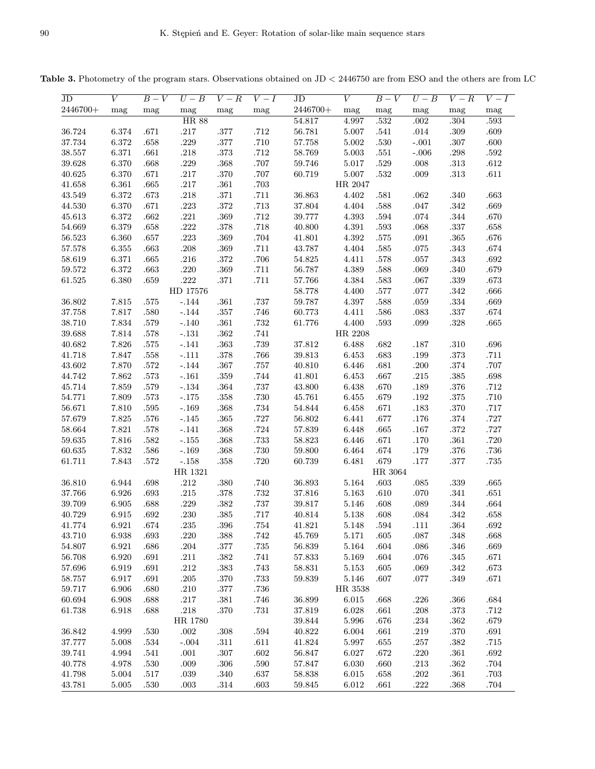Table 3. Photometry of the program stars. Observations obtained on JD < 2446750 are from ESO and the others are from LC

| $\rm JD$   | V         | $B-V$    | $U-B$                      | $V-R$    | $V-I$    | JD         | V         | $B-V$    | $U-B$    | $V-R$    | $V-I$        |
|------------|-----------|----------|----------------------------|----------|----------|------------|-----------|----------|----------|----------|--------------|
| 2446700+   | mag       | mag      | $_{\rm mag}$               | mag      | mag      | $2446700+$ | mag       | mag      | mag      | mag      | $_{\rm mag}$ |
|            |           |          | <b>HR 88</b>               |          |          | 54.817     | 4.997     | .532     | .002     | .304     | .593         |
| 36.724     | 6.374     | .671     | $.217\,$                   | $.377\,$ | $.712\,$ | $56.781\,$ | $5.007\,$ | $.541\,$ | $.014\,$ | $.309\,$ | $.609\,$     |
| 37.734     | $6.372\,$ | .658     | $.229\,$                   | $.377\,$ | $.710\,$ | 57.758     | $5.002\,$ | $.530\,$ | $-.001$  | $.307\,$ | $.600\,$     |
| $38.557\,$ | $6.371\,$ | $.661\,$ | $.218\,$                   | $.373\,$ | $.712\,$ | 58.769     | $5.003\,$ | $.551\,$ | $-.006$  | $.298\,$ | $.592\,$     |
| 39.628     | 6.370     | $.668\,$ | $.229\,$                   | $.368\,$ | $.707\,$ | 59.746     | 5.017     | $.529\,$ | $.008\,$ | $.313\,$ | $.612\,$     |
| 40.625     | 6.370     | .671     | $.217\,$                   | $.370\,$ | $.707\,$ | 60.719     | 5.007     | $.532\,$ | $.009\,$ | $.313\,$ | $.611\,$     |
| 41.658     | 6.361     | .665     | $.217\,$                   | $.361\,$ | $.703\,$ |            | HR 2047   |          |          |          |              |
| 43.549     | $6.372\,$ | $.673\,$ | $.218\,$                   | $.371\,$ | $.711\,$ | 36.863     | 4.402     | $.581\,$ | $.062\,$ | $.340\,$ | $.663\,$     |
| 44.530     | 6.370     | $.671\,$ | $.223\,$                   | $.372\,$ | $.713\,$ | $37.804\,$ | 4.404     | $.588\,$ | $.047\,$ | $.342\,$ | $.669\,$     |
| 45.613     | $6.372\,$ | $.662\,$ | $.221\,$                   | $.369\,$ | $.712\,$ | 39.777     | 4.393     | $.594\,$ | $.074\,$ | $.344\,$ | $.670\,$     |
| 54.669     | 6.379     | $.658\,$ | $.222\,$                   | $.378\,$ | $.718\,$ | 40.800     | 4.391     | $.593\,$ | $.068\,$ | $.337\,$ | $.658\,$     |
| $56.523\,$ | 6.360     | $.657\,$ | $.223\,$                   | $.369\,$ | $.704\,$ | 41.801     | $4.392\,$ | $.575\,$ | $.091\,$ | $.365\,$ | $.676\,$     |
| 57.578     | $6.355\,$ | $.663\,$ | $.208\,$                   | $.369\,$ | $.711\,$ | 43.787     | 4.404     | $.585\,$ | $.075\,$ | $.343\,$ | $.674\,$     |
| 58.619     | 6.371     | $.665\,$ | $.216\,$                   | $.372\,$ | $.706\,$ | $54.825\,$ | 4.411     | $.578\,$ | $.057\,$ | $.343\,$ | $.692\,$     |
| 59.572     | $6.372\,$ | $.663\,$ | $.220\,$                   | $.369\,$ | $.711\,$ | 56.787     | 4.389     | $.588\,$ | $.069\,$ | $.340\,$ | $.679\,$     |
| 61.525     | 6.380     | .659     | $.222\,$                   | $.371\,$ | $.711\,$ | 57.766     | 4.384     | $.583\,$ | $.067\,$ | $.339\,$ | $.673\,$     |
|            |           |          | HD 17576                   |          |          | 58.778     | 4.400     | $.577\,$ | $.077\,$ | $.342\,$ | $.666\,$     |
| 36.802     | $7.815\,$ | $.575\,$ | $-.144$                    | $.361\,$ | $.737\,$ | 59.787     | $4.397\,$ | $.588\,$ | $.059\,$ | $.334\,$ | $.669\,$     |
| 37.758     | 7.817     | $.580\,$ | $-.144$                    | $.357\,$ | $.746\,$ | 60.773     | 4.411     | $.586\,$ | $.083\,$ | $.337\,$ | $.674\,$     |
| $38.710\,$ | 7.834     | $.579\,$ | $-.140$                    | $.361\,$ | $.732\,$ | 61.776     | 4.400     | $.593\,$ | .099     | $.328\,$ | $.665\,$     |
| 39.688     | $7.814\,$ | $.578\,$ | $-.131\,$                  | $.362\,$ | $.741\,$ |            | HR 2208   |          |          |          |              |
| 40.682     | 7.826     | $.575\,$ | $-.141$                    | $.363\,$ | $.739\,$ | 37.812     | 6.488     | $.682\,$ | $.187\,$ | $.310\,$ | $.696\,$     |
|            |           |          |                            |          |          | $39.813\,$ |           |          | $.199\,$ |          | $.711\,$     |
| 41.718     | 7.847     | $.558\,$ | $-.111$                    | $.378\,$ | $.766\,$ |            | 6.453     | $.683\,$ |          | $.373\,$ |              |
| $43.602\,$ | 7.870     | $.572\,$ | $-.144\,$                  | $.367\,$ | $.757\,$ | $40.810\,$ | 6.446     | $.681\,$ | $.200\,$ | $.374\,$ | $.707\,$     |
| 44.742     | 7.862     | $.573\,$ | $-.161$                    | $.359\,$ | $.744\,$ | 41.801     | 6.453     | $.667\,$ | $.215\,$ | $.385\,$ | $.698\,$     |
| $45.714\,$ | 7.859     | $.579\,$ | $-.134$                    | $.364\,$ | $.737\,$ | 43.800     | 6.438     | $.670\,$ | $.189\,$ | $.376\,$ | $.712\,$     |
| 54.771     | 7.809     | $.573\,$ | $^{\circ}.175$             | $.358\,$ | $.730\,$ | $45.761\,$ | $6.455\,$ | $.679\,$ | $.192\,$ | $.375\,$ | $.710\,$     |
| 56.671     | $7.810\,$ | $.595\,$ | $-.169$                    | $.368\,$ | $.734\,$ | $54.844\,$ | 6.458     | $.671\,$ | $.183\,$ | $.370\,$ | $.717\,$     |
| 57.679     | 7.825     | $.576\,$ | $-.145$                    | $.365\,$ | $.727\,$ | $56.802\,$ | 6.441     | $.677\,$ | $.176\,$ | $.374\,$ | $.727\,$     |
| 58.664     | 7.821     | $.578\,$ | $-.141$                    | $.368\,$ | $.724\,$ | $57.839\,$ | 6.448     | $.665\,$ | $.167\,$ | $.372\,$ | $.727\,$     |
| 59.635     | $7.816\,$ | $.582\,$ | $^{\text{{\small -}}.155}$ | $.368\,$ | $.733\,$ | $58.823\,$ | 6.446     | $.671\,$ | $.170\,$ | $.361\,$ | $.720\,$     |
| 60.635     | $7.832\,$ | $.586\,$ | $-.169$                    | $.368\,$ | $.730\,$ | 59.800     | $6.464\,$ | $.674\,$ | $.179\,$ | $.376\,$ | $.736\,$     |
| 61.711     | 7.843     | $.572\,$ | $^{\text{{\small -}}.158}$ | $.358\,$ | $.720\,$ | 60.739     | 6.481     | $.679\,$ | $.177\,$ | $.377\,$ | $.735\,$     |
|            |           |          | HR 1321                    |          |          |            |           | HR 3064  |          |          |              |
| 36.810     | 6.944     | $.698\,$ | $.212\,$                   | $.380\,$ | $.740\,$ | 36.893     | $5.164\,$ | $.603\,$ | $.085\,$ | $.339\,$ | $.665\,$     |
| 37.766     | $6.926\,$ | .693     | $.215\,$                   | $.378\,$ | $.732\,$ | $37.816\,$ | $5.163\,$ | $.610\,$ | $.070\,$ | $.341\,$ | $.651\,$     |
| 39.709     | 6.905     | .688     | $.229\,$                   | $.382\,$ | $.737\,$ | $39.817\,$ | $5.146\,$ | $.608\,$ | $.089\,$ | $.344\,$ | $.664\,$     |
| 40.729     | $6.915\,$ | .692     | $.230\,$                   | $.385\,$ | $.717\,$ | 40.814     | 5.138     | $.608\,$ | $.084\,$ | $.342\,$ | $.658\,$     |
| 41.774     | 6.921     | .674     | .235                       | .396     | .754     | 41.821     | 5.148     | .594     | .111     | .364     | .692         |
| 43.710     | 6.938     | $.693\,$ | $.220\,$                   | $.388\,$ | $.742\,$ | 45.769     | 5.171     | $.605\,$ | $.087\,$ | .348     | $.668\,$     |
| 54.807     | 6.921     | $.686\,$ | $.204\,$                   | $.377\,$ | $.735\,$ | 56.839     | $5.164\,$ | $.604\,$ | $.086\,$ | $.346\,$ | $.669\,$     |
| 56.708     | 6.920     | $.691\,$ | .211                       | $.382\,$ | $.741\,$ | 57.833     | 5.169     | $.604\,$ | $.076\,$ | $.345\,$ | $.671\,$     |
| 57.696     | 6.919     | $.691\,$ | $.212\,$                   | $.383\,$ | $.743\,$ | 58.831     | $5.153\,$ | $.605\,$ | $.069\,$ | $.342\,$ | .673         |
| 58.757     | 6.917     | .691     | $.205\,$                   | $.370\,$ | $.733\,$ | 59.839     | 5.146     | .607     | $.077\,$ | $.349\,$ | $.671\,$     |
| 59.717     | 6.906     | $.680\,$ | $.210\,$                   | $.377\,$ | $.736\,$ |            | HR 3538   |          |          |          |              |
| 60.694     | $6.908\,$ | .688     | $.217\,$                   | $.381\,$ | $.746\,$ | 36.899     | 6.015     | .668     | $.226\,$ | $.366\,$ | $.684\,$     |
| 61.738     | $6.918\,$ | .688     | $.218\,$                   | $.370\,$ | $.731\,$ | 37.819     | 6.028     | $.661\,$ | $.208\,$ | $.373\,$ | $.712\,$     |
|            |           |          | HR 1780                    |          |          | 39.844     | 5.996     | $.676\,$ | $.234\,$ | $.362\,$ | $.679\,$     |
| 36.842     | 4.999     | $.530\,$ | $.002\,$                   | $.308\,$ | $.594\,$ | 40.822     | 6.004     | $.661\,$ | $.219\,$ | $.370\,$ | $.691\,$     |
| 37.777     | $5.008\,$ | .534     | $-.004$                    | $.311\,$ | .611     | 41.824     | 5.997     | .655     | $.257\,$ | $.382\,$ | $.715\,$     |
| 39.741     | 4.994     | .541     | .001                       | $.307\,$ | $.602\,$ | 56.847     | 6.027     | .672     | .220     | .361     | $.692\,$     |
| 40.778     | 4.978     | $.530\,$ | $.009$                     | $.306\,$ | $.590\,$ | 57.847     | 6.030     | .660     | $.213\,$ | $.362\,$ | $.704\,$     |
| 41.798     | 5.004     | $.517\,$ | $.039\,$                   | $.340\,$ | $.637\,$ | 58.838     | 6.015     | $.658\,$ | $.202\,$ | $.361\,$ | $.703\,$     |
| 43.781     | 5.005     | $.530\,$ | .003                       | $.314\,$ | .603     | $59.845\,$ | 6.012     | .661     | $.222\,$ | .368     | $.704\,$     |